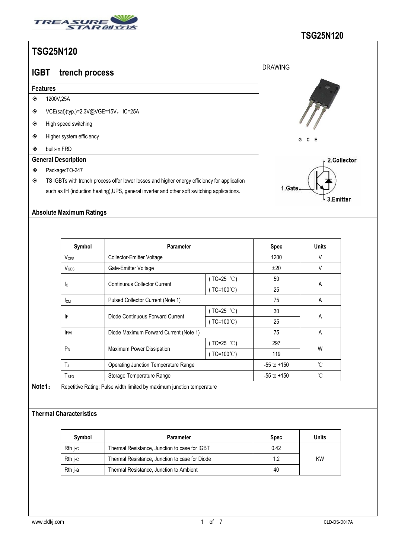

|   | <b>IGBT</b><br>trench process                                                                | <b>DRAWING</b>       |
|---|----------------------------------------------------------------------------------------------|----------------------|
|   | <b>Features</b>                                                                              |                      |
| ◈ | 1200V,25A                                                                                    |                      |
| ◈ | VCE(sat)(typ.)=2.3V@VGE=15V,IC=25A                                                           |                      |
| ◈ | High speed switching                                                                         |                      |
| ◈ | Higher system efficiency                                                                     | G<br>C E             |
| ◈ | built-in FRD                                                                                 |                      |
|   | <b>General Description</b>                                                                   | 2.Collector          |
| ◈ | Package: TO-247                                                                              |                      |
| ◈ | TS IGBTs with trench process offer lower losses and higher energy efficiency for application |                      |
|   | such as IH (induction heating), UPS, general inverter and other soft switching applications. | 1.Gate.<br>3.Emitter |

### **Absolute Maximum Ratings**

| Symbol           | <b>Parameter</b>                       |                      | <b>Spec</b>     | <b>Units</b> |
|------------------|----------------------------------------|----------------------|-----------------|--------------|
| $V_{CES}$        | Collector-Emitter Voltage              |                      | 1200            | V            |
| $V_{\text{GES}}$ | Gate-Emitter Voltage                   |                      | ±20             | V            |
|                  | Continuous Collector Current           | ( $TC=25$ °C)        | 50              | Α            |
| <b>I</b> c       |                                        | ( $TC=100^{\circ}$ ) | 25              |              |
| Iсм              | Pulsed Collector Current (Note 1)      |                      | 75              | Α            |
|                  | Diode Continuous Forward Current       | $(TC=25 °C)$         | 30              | A            |
| IF               |                                        | $(TC=100^{\circ}C)$  | 25              |              |
| <b>IFM</b>       | Diode Maximum Forward Current (Note 1) |                      |                 | A            |
|                  | Maximum Power Dissipation              | $(TC=25 °C)$         | 297             | W            |
| $P_D$            |                                        | (TC=100 $°C$ )       | 119             |              |
| TJ               | Operating Junction Temperature Range   |                      | $-55$ to $+150$ | $^{\circ}$ C |
| T <sub>STG</sub> | Storage Temperature Range              |                      | $-55$ to $+150$ | $^{\circ}$ C |

**Note1**: Repetitive Rating: Pulse width limited by maximum junction temperature

#### **Thermal Characteristics**

| Symbol    | Parameter                                      | <b>Spec</b> | Units     |
|-----------|------------------------------------------------|-------------|-----------|
| $Rth$ j-c | Thermal Resistance, Junction to case for IGBT  | 0.42        |           |
| $Rth$ j-c | Thermal Resistance, Junction to case for Diode | 1.2         | <b>KW</b> |
| Rth i-a   | Thermal Resistance, Junction to Ambient        | 40          |           |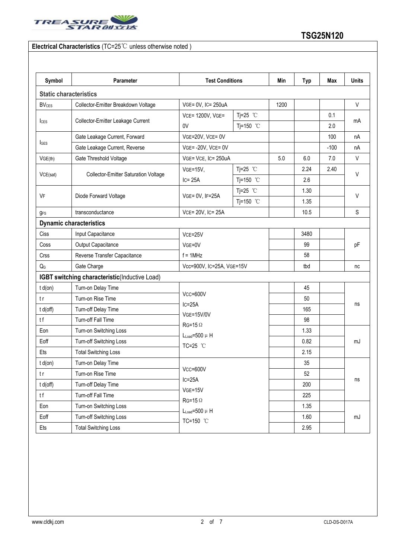

## **Electrical Characteristics** (TC=25℃ unless otherwise noted )

| Symbol                  | Parameter                                     | <b>Test Conditions</b>                                                                  |                     |      | <b>Typ</b> | Max    | <b>Units</b> |
|-------------------------|-----------------------------------------------|-----------------------------------------------------------------------------------------|---------------------|------|------------|--------|--------------|
|                         | <b>Static characteristics</b>                 |                                                                                         |                     |      |            |        |              |
| <b>BV<sub>CES</sub></b> | Collector-Emitter Breakdown Voltage           | VGE= 0V, IC= 250uA                                                                      |                     | 1200 |            |        | $\vee$       |
|                         | Collector-Emitter Leakage Current             | VCE= 1200V, VGE=                                                                        | Tj=25 $°C$          |      |            | 0.1    |              |
| $l_{\text{CES}}$        |                                               | 0V                                                                                      | Tj=150 $^{\circ}$ C |      |            | 2.0    | mA           |
|                         | Gate Leakage Current, Forward                 | VGE=20V, VCE= 0V                                                                        |                     |      |            | 100    | nA           |
| <b>I</b> GES            | Gate Leakage Current, Reverse                 | VGE=-20V, VCE=0V                                                                        |                     |      |            | $-100$ | nA           |
| VGE(th)                 | Gate Threshold Voltage                        | VGE= VCE, IC= 250uA                                                                     |                     | 5.0  | 6.0        | 7.0    | V            |
|                         | <b>Collector-Emitter Saturation Voltage</b>   | $VGE=15V,$                                                                              | Tj=25 $°C$          |      | 2.24       | 2.40   |              |
| VCE(sat)                |                                               | $IC = 25A$                                                                              | Tj=150 °C           |      | 2.6        |        | V            |
|                         | Diode Forward Voltage                         | VGE= 0V, IF=25A                                                                         | Tj=25 $°C$          |      | 1.30       |        | $\vee$       |
| VF                      |                                               |                                                                                         | Tj=150 °C           |      | 1.35       |        |              |
| <b>gFS</b>              | transconductance                              | VCE= 20V, IC= 25A                                                                       |                     |      | 10.5       |        | S            |
|                         | <b>Dynamic characteristics</b>                |                                                                                         |                     |      |            |        |              |
| Ciss                    | Input Capacitance                             | VCE=25V                                                                                 |                     | 3480 |            | pF     |              |
| Coss                    | Output Capacitance                            | VGE=0V<br>$f = 1$ MHz                                                                   |                     |      | 99         |        |              |
| Crss                    | Reverse Transfer Capacitance                  |                                                                                         |                     |      | 58         |        |              |
| $Q_{G}$                 | Gate Charge                                   | Vcc=900V, IC=25A, VGE=15V                                                               |                     |      | tbd        |        | nc           |
|                         | IGBT switching characteristic(Inductive Load) |                                                                                         |                     |      |            |        |              |
| $t d($ on $)$           | Turn-on Delay Time                            |                                                                                         |                     |      | 45         |        |              |
| t r                     | Turn-on Rise Time                             | Vcc=600V                                                                                |                     |      | 50         |        |              |
| t d(off)                | Turn-off Delay Time                           | $IC = 25A$<br><b>VGE=15V/0V</b><br>$RG=15 \Omega$<br>$L_{Load} = 500 \mu H$<br>TC=25 °C |                     |      | 165        |        | ns           |
| tf                      | Turn-off Fall Time                            |                                                                                         |                     |      | 98         |        |              |
| Eon                     | Turn-on Switching Loss                        |                                                                                         |                     |      | 1.33       |        | mJ           |
| Eoff                    | Turn-off Switching Loss                       |                                                                                         |                     |      | 0.82       |        |              |
| Ets                     | <b>Total Switching Loss</b>                   |                                                                                         |                     |      | 2.15       |        |              |
| $t d($ on $)$           | Turn-on Delay Time                            | $Vcc = 600V$<br>$IC = 25A$<br>$VGE = 15V$<br>$RG=15 \Omega$                             |                     |      | 35         |        | ns           |
| t r                     | Turn-on Rise Time                             |                                                                                         |                     |      | 52         |        |              |
| t d(off)                | Turn-off Delay Time                           |                                                                                         |                     |      | 200        |        |              |
| tf                      | Turn-off Fall Time                            |                                                                                         |                     |      | 225        |        |              |
| Eon                     | Turn-on Switching Loss                        | $L_{Load} = 500 \mu H$                                                                  |                     |      | 1.35       |        |              |
| Eoff                    | Turn-off Switching Loss                       | TC=150 °C                                                                               |                     |      | 1.60       |        | mJ           |
| Ets                     | <b>Total Switching Loss</b>                   |                                                                                         |                     | 2.95 |            |        |              |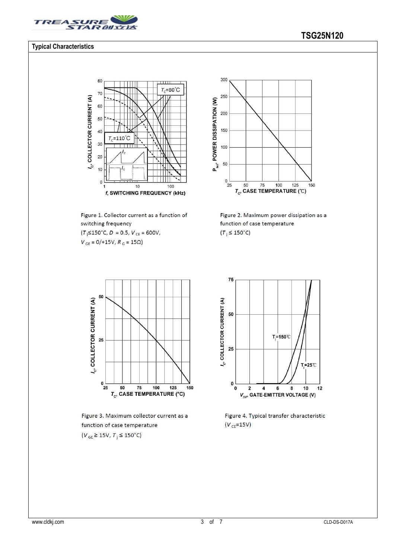

80

70

60

50

#### **Typical Characteristics**

# $\overline{\mathbf{u}}$  $T_c = 80^{\circ}$ C



Figure 1. Collector current as a function of switching frequency

 $(T_j \le 150^{\circ} \text{C}, D = 0.5, V_{CE} = 600 \text{V},$  $V_{\rm GE}=0/+15\mathrm{V},$   $R_{\rm G}=15\Omega)$ 



Figure 2. Maximum power dissipation as a function of case temperature  $(T_j \leq 150^{\circ}C)$ 



Figure 3. Maximum collector current as a function of case temperature

 $(V_{GE} \ge 15V, T_j \le 150^{\circ}C)$ 



Figure 4. Typical transfer characteristic  $(V_{CE} = 15V)$ 

## **TSG25N120**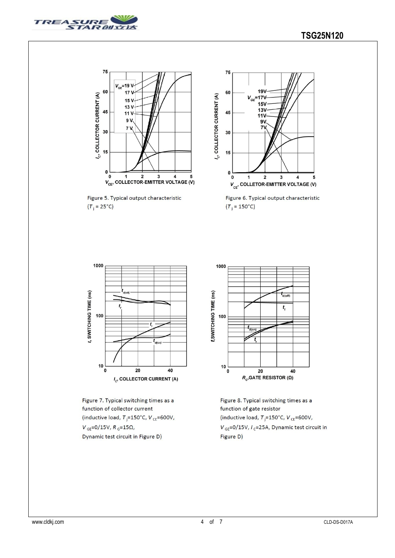



Figure 5. Typical output characteristic  $(T_i = 25^{\circ}C)$ 



Figure 6. Typical output characteristic  $(T_i = 150^{\circ}C)$ 



Figure 7. Typical switching times as a function of collector current (inductive load,  $T_{\parallel} = 150^{\circ}$ C,  $V_{CE} = 600V$ ,  $V_{GE} = 0/15V, R_{G} = 15\Omega,$ Dynamic test circuit in Figure D)



Figure 8. Typical switching times as a function of gate resistor (inductive load,  $T_{\parallel} = 150^{\circ}$ C,  $V_{CE} = 600V$ ,  $V_{GE}$ =0/15V,  $I_C$ =25A, Dynamic test circuit in Figure D)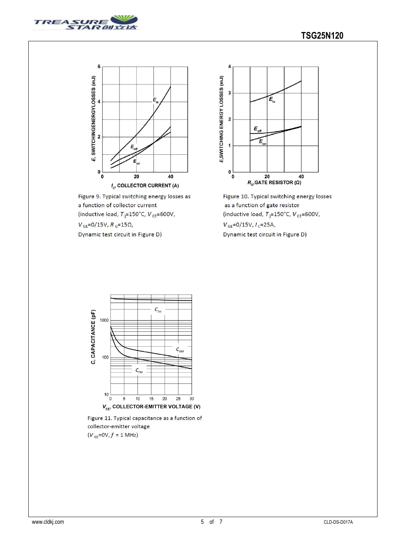



Figure 9. Typical switching energy losses as a function of collector current (inductive load,  $T_{\parallel} = 150^{\circ}$ C,  $V_{CE} = 600V$ ,  $V_{\text{GE}}=0/15V, R_{\text{G}}=15\Omega,$ Dynamic test circuit in Figure D)



Figure 10. Typical switching energy losses as a function of gate resistor (inductive load,  $T_{\rm j}$ =150°C, V<sub>CE</sub>=600V,  $V_{GE} = 0/15V, I_C = 25A,$ Dynamic test circuit in Figure D)



Figure 11. Typical capacitance as a function of collector-emitter voltage

 $(V_{GE}=0V, f = 1 MHz)$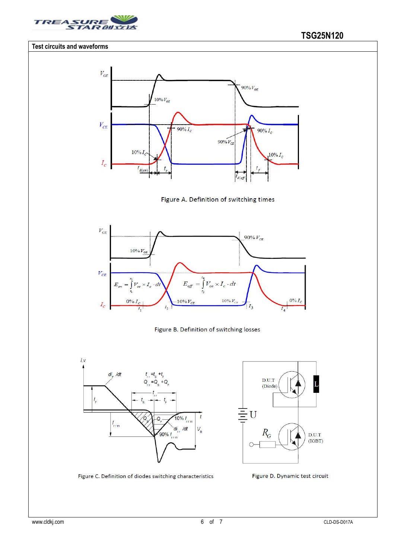

#### **Test circuits and waveforms**













Figure C. Definition of diodes switching characteristics